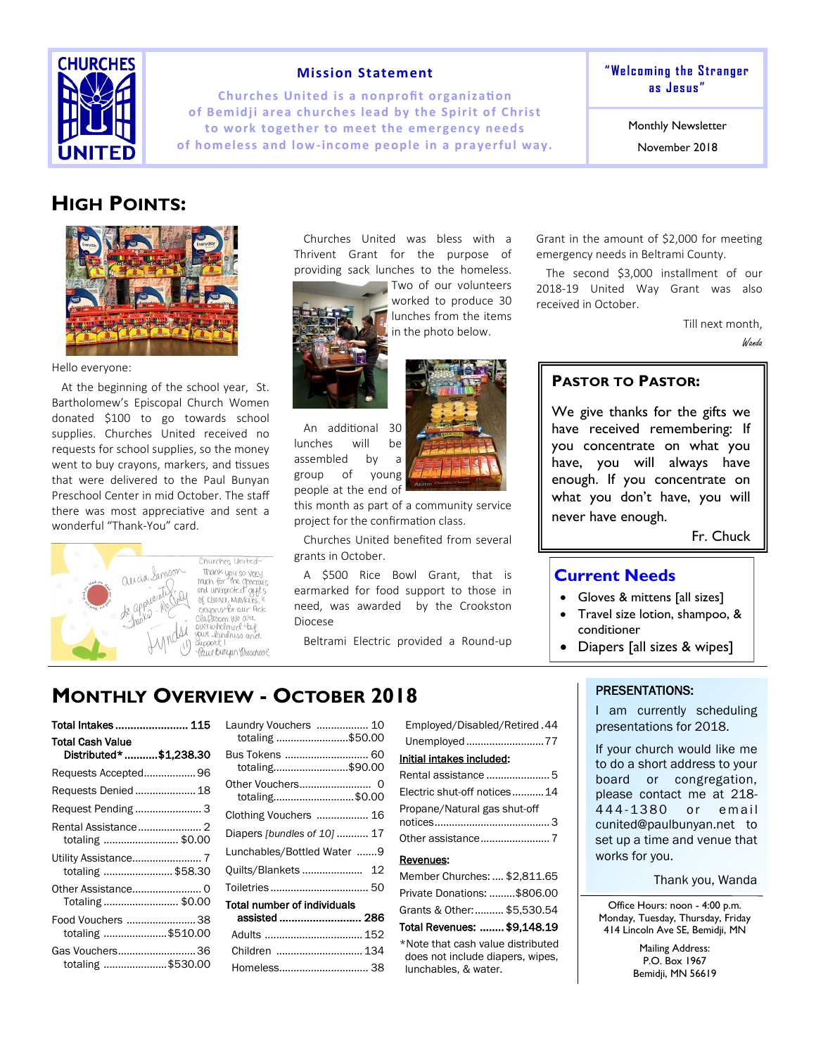

## **Mission Statement**

**Churches United is a nonprofit organization** of Bemidji area churches lead by the Spirit of Christ to work together to meet the emergency needs of homeless and low-income people in a prayerful way. **" We lc om in g t he S tr a nger as J es us "**

Monthly Newsletter

November 2018

# **HIGH POINTS:**



#### Hello everyone:

At the beginning of the school year, St. Bartholomew's Episcopal Church Women donated \$100 to go towards school supplies. Churches United received no requests for school supplies, so the money went to buy crayons, markers, and tissues that were delivered to the Paul Bunyan Preschool Center in mid October. The staff there was most appreciative and sent a wonderful "Thank-You" card.



thank you so very<br>much for the generals<br>and unimproted of the of Kluner, Markers you only for our Arck your kindness and

Churches United was bless with a Thrivent Grant for the purpose of providing sack lunches to the homeless.



Two of our volunteers worked to produce 30 lunches from the items in the photo below.



An additional 30 lunches will be assembled by a group of young people at the end of



this month as part of a community service project for the confirmation class.

Churches United benefited from several grants in October.

A \$500 Rice Bowl Grant, that is earmarked for food support to those in need, was awarded by the Crookston Diocese

Beltrami Electric provided a Round-up

Grant in the amount of \$2,000 for meeting emergency needs in Beltrami County.

The second \$3,000 installment of our 2018-19 United Way Grant was also received in October.

Till next month,

Wanda

## **PASTOR TO PASTOR:**

We give thanks for the gifts we have received remembering: If you concentrate on what you have, you will always have enough. If you concentrate on what you don't have, you will never have enough.

Fr. Chuck

## **Current Needs**

- Gloves & mittens [all sizes]
- Travel size lotion, shampoo, & conditioner
- Diapers [all sizes & wipes]

# **MONTHLY OVERVIEW - OCTOBER 2018**

| Total Intakes 115                                  |  |
|----------------------------------------------------|--|
| <b>Total Cash Value</b><br>Distributed* \$1,238.30 |  |
| Requests Accepted 96                               |  |
| Requests Denied  18                                |  |
|                                                    |  |
| Rental Assistance 2<br>totaling  \$0.00            |  |
| Utility Assistance 7<br>totaling \$58.30           |  |
| Totaling  \$0.00                                   |  |
| Food Vouchers  38<br>totaling \$510.00             |  |
| Gas Vouchers36<br>totaling \$530.00                |  |

| Laundry Vouchers  10<br>totaling \$50.00     |  |
|----------------------------------------------|--|
| Bus Tokens  60<br>totaling\$90.00            |  |
| Other Vouchers<br>0<br>totaling\$0.00        |  |
| Clothing Vouchers  16                        |  |
| Diapers [bundles of 10]  17                  |  |
| Lunchables/Bottled Water 9                   |  |
| Quilts/Blankets<br>12                        |  |
| Toiletries  50                               |  |
| Total number of individuals<br>assisted  286 |  |
|                                              |  |
| Children  134                                |  |
| Homeless 38                                  |  |

| Employed/Disabled/Retired.44 |
|------------------------------|
| Unemployed77                 |
| Initial intakes included:    |
| Rental assistance  5         |
| Electric shut-off notices14  |
| Propane/Natural gas shut-off |
|                              |
|                              |
| Revenues:                    |
| Member Churches:  \$2.811.65 |
| Private Donations: \$806.00  |
| Grants & Other: \$5,530.54   |

#### Total Revenues: ........ \$9,148.19 \*Note that cash value distributed does not include diapers, wipes, lunchables, & water.

## PRESENTATIONS:

I am currently scheduling presentations for 2018.

If your church would like me to do a short address to your board or congregation, please contact me at 218- 444-1380 or email cunited@paulbunyan.net to set up a time and venue that works for you.

Thank you, Wanda

Office Hours: noon - 4:00 p.m. Monday, Tuesday, Thursday, Friday 414 Lincoln Ave SE, Bemidji, MN

> Mailing Address: P.O. Box 1967 Bemidji, MN 56619